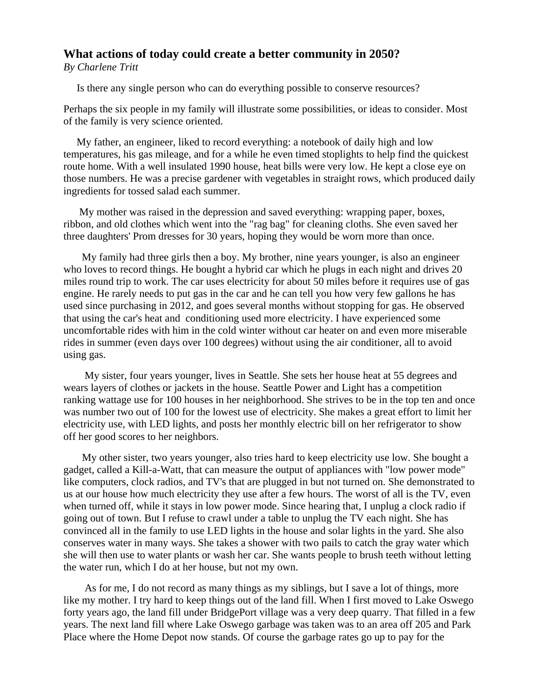## **What actions of today could create a better community in 2050?** *By Charlene Tritt*

Is there any single person who can do everything possible to conserve resources?

Perhaps the six people in my family will illustrate some possibilities, or ideas to consider. Most of the family is very science oriented.

 My father, an engineer, liked to record everything: a notebook of daily high and low temperatures, his gas mileage, and for a while he even timed stoplights to help find the quickest route home. With a well insulated 1990 house, heat bills were very low. He kept a close eye on those numbers. He was a precise gardener with vegetables in straight rows, which produced daily ingredients for tossed salad each summer.

 My mother was raised in the depression and saved everything: wrapping paper, boxes, ribbon, and old clothes which went into the "rag bag" for cleaning cloths. She even saved her three daughters' Prom dresses for 30 years, hoping they would be worn more than once.

 My family had three girls then a boy. My brother, nine years younger, is also an engineer who loves to record things. He bought a hybrid car which he plugs in each night and drives 20 miles round trip to work. The car uses electricity for about 50 miles before it requires use of gas engine. He rarely needs to put gas in the car and he can tell you how very few gallons he has used since purchasing in 2012, and goes several months without stopping for gas. He observed that using the car's heat and conditioning used more electricity. I have experienced some uncomfortable rides with him in the cold winter without car heater on and even more miserable rides in summer (even days over 100 degrees) without using the air conditioner, all to avoid using gas.

 My sister, four years younger, lives in Seattle. She sets her house heat at 55 degrees and wears layers of clothes or jackets in the house. Seattle Power and Light has a competition ranking wattage use for 100 houses in her neighborhood. She strives to be in the top ten and once was number two out of 100 for the lowest use of electricity. She makes a great effort to limit her electricity use, with LED lights, and posts her monthly electric bill on her refrigerator to show off her good scores to her neighbors.

 My other sister, two years younger, also tries hard to keep electricity use low. She bought a gadget, called a Kill-a-Watt, that can measure the output of appliances with "low power mode" like computers, clock radios, and TV's that are plugged in but not turned on. She demonstrated to us at our house how much electricity they use after a few hours. The worst of all is the TV, even when turned off, while it stays in low power mode. Since hearing that, I unplug a clock radio if going out of town. But I refuse to crawl under a table to unplug the TV each night. She has convinced all in the family to use LED lights in the house and solar lights in the yard. She also conserves water in many ways. She takes a shower with two pails to catch the gray water which she will then use to water plants or wash her car. She wants people to brush teeth without letting the water run, which I do at her house, but not my own.

 As for me, I do not record as many things as my siblings, but I save a lot of things, more like my mother. I try hard to keep things out of the land fill. When I first moved to Lake Oswego forty years ago, the land fill under BridgePort village was a very deep quarry. That filled in a few years. The next land fill where Lake Oswego garbage was taken was to an area off 205 and Park Place where the Home Depot now stands. Of course the garbage rates go up to pay for the